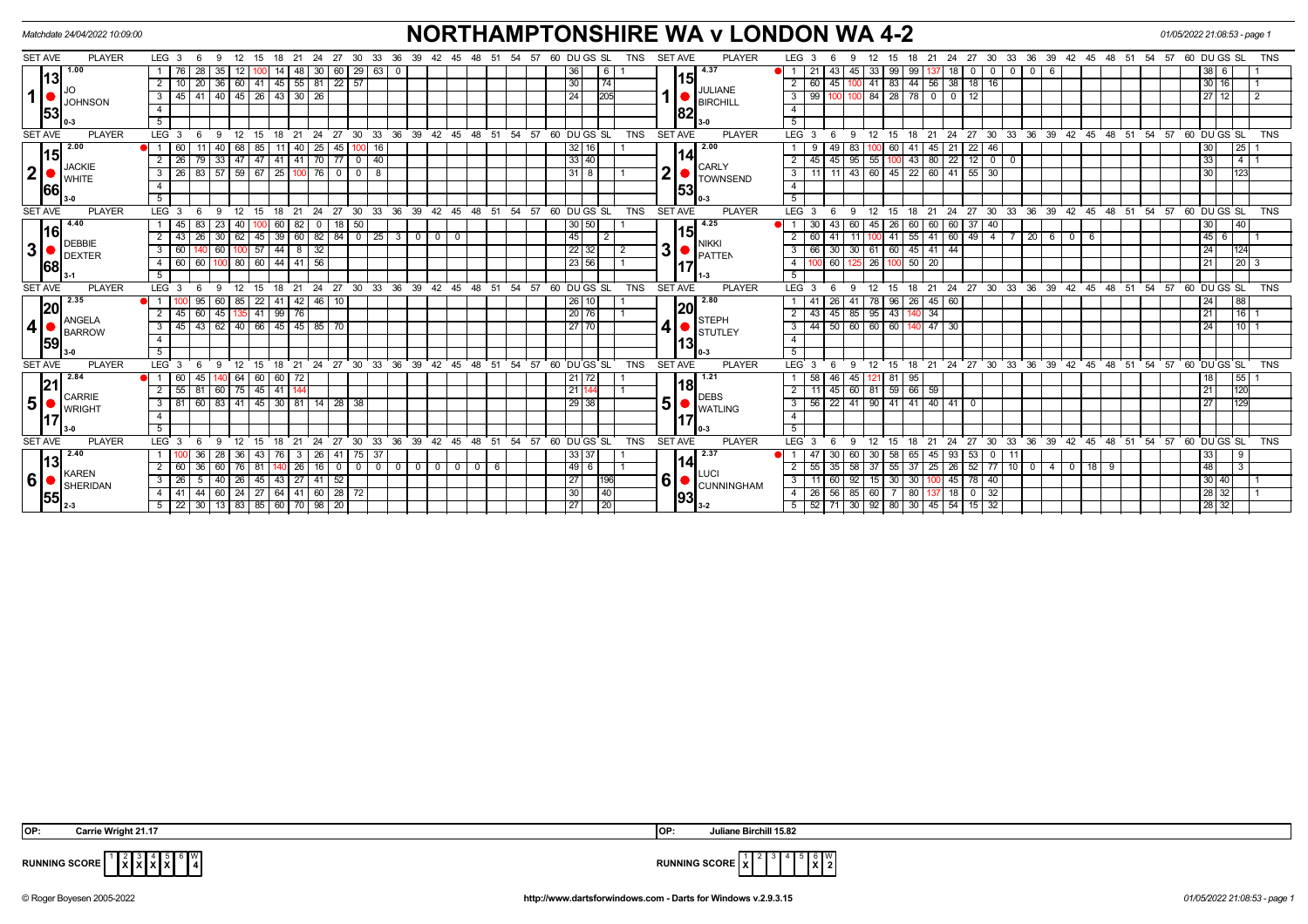| <b>NORTHAMPTONSHIRE WA v LONDON WA 4-2</b><br>01/05/2022 21:08:53 - page 1<br>Matchdate 24/04/2022 10:09:00 |                                             |                                                                                                     |                                                                                                                                                                                                                                       |                                        |  |  |  |  |  |
|-------------------------------------------------------------------------------------------------------------|---------------------------------------------|-----------------------------------------------------------------------------------------------------|---------------------------------------------------------------------------------------------------------------------------------------------------------------------------------------------------------------------------------------|----------------------------------------|--|--|--|--|--|
| <b>SET AVE</b>                                                                                              | <b>PLAYER</b>                               | LEG $3$ 6<br>12 15<br>24 27<br>-30<br>33<br>-9<br>18 21                                             | <b>SET AVE</b><br>60 DU GS SL<br>TNS<br><b>PLAYER</b><br>LEG <sub>3</sub><br>33 36 39<br>36<br>39<br>48<br>-54<br>57<br>27 30<br>42 45 48 51<br>42<br>- 45<br>-51<br>12<br>21<br>-24<br>-15                                           | 57 60 DU GS SL<br><b>TNS</b><br>-54    |  |  |  |  |  |
| $\mathbf 1$                                                                                                 | 1.00<br> 13 <br><b>JOHNSON</b><br>53        | 28<br>60   29   63  <br>30<br>35<br>48                                                              | 4.37<br>36<br>99<br>$\mathbf 0$<br>6<br>45<br>33<br>99<br>$\mathbf 0$<br>$\mathbf{0}$<br>-1<br>21<br>- 6<br>-43<br>18                                                                                                                 | $38$   6                               |  |  |  |  |  |
|                                                                                                             |                                             | 36 60 41 45 55 81 22 57<br>$\overline{20}$<br>2                                                     | 15I<br>30<br>74<br>-44<br>56 38<br>$18$   16<br>$\overline{2}$<br>$\overline{60}$ 45<br>41 83<br>100                                                                                                                                  | 30 16                                  |  |  |  |  |  |
|                                                                                                             |                                             | 45   41   40   45   26   43   30   26<br>3                                                          | <b>JULIANE</b><br>24<br>205<br>99<br>78 I<br>12<br>$\mathbf{3}$<br>84 28<br>$\overline{\mathbf{0}}$<br>$\overline{\mathbf{0}}$<br><b>BIRCHILL</b>                                                                                     | 27 12                                  |  |  |  |  |  |
|                                                                                                             |                                             |                                                                                                     | $\overline{4}$<br> 82                                                                                                                                                                                                                 |                                        |  |  |  |  |  |
|                                                                                                             |                                             | 5 <sup>1</sup>                                                                                      | 5                                                                                                                                                                                                                                     |                                        |  |  |  |  |  |
| <b>SET AVE</b><br><b>PLAYER</b>                                                                             |                                             | LEG <sup>3</sup><br>33<br>-27<br>30<br>21<br>24<br>15                                               | ີ 36 ີ<br>39<br>42 45 48 51<br>54<br>57<br>60 DUGS SL<br><b>TNS</b><br><b>SET AVE</b><br><b>PLAYER</b><br>LEG <sup>1</sup><br>27<br>30<br>ີ 33<br>36<br>39 42<br>ີ 48<br>24<br>45<br>- 51<br>12<br>21<br>-3<br>18                     | 54<br>່ 57<br>60 DUGS SL<br><b>TNS</b> |  |  |  |  |  |
|                                                                                                             | 2.00<br>15<br><b>JACKIE</b><br><b>WHITE</b> | 25<br>85<br>45<br>16                                                                                | $\sqrt{2.00}$<br>22<br>83<br>32<br>41                                                                                                                                                                                                 | 25 <br>30 I                            |  |  |  |  |  |
| $\mathbf{2}$                                                                                                |                                             | $33 \mid 47 \mid 47 \mid 41 \mid 41 \mid 70 \mid 77 \mid 0 \mid 40$<br>$\overline{79}$<br>2<br>26 I | $12$ 0 0<br>$\overline{33 40}$<br>$\overline{95}$<br>43<br>$80$ 22<br>$55$ 100<br>$\overline{2}$<br>$45 \overline{\smash{)}\ 45}$<br><b>CARLY</b>                                                                                     | T 4 T 1<br>33                          |  |  |  |  |  |
|                                                                                                             |                                             | 26 83 57 59 67 25 100 76<br>$0 0 8$<br>3                                                            | $\overline{\mathbf{2}}$<br>$\overline{\mathbf{3}}$<br>$-43$<br>$\overline{22}$<br>$60$ 41 55<br>$31$ $8$<br>60 45<br>11<br>30<br>11<br><b>TOWNSEND</b>                                                                                | 1123<br>30 I                           |  |  |  |  |  |
|                                                                                                             | 66                                          | $\overline{4}$                                                                                      | $\overline{4}$<br> 53                                                                                                                                                                                                                 |                                        |  |  |  |  |  |
|                                                                                                             |                                             | 5                                                                                                   | $\overline{5}$                                                                                                                                                                                                                        |                                        |  |  |  |  |  |
| <b>SET AVE</b>                                                                                              | <b>PLAYER</b>                               | $LEG$ 3<br>$27 \cdot 30 \cdot 33$<br>$12^{-}$<br>ີ 18<br>21<br>24<br>- 6<br>9<br>15                 | SET AVE<br>$36 \t39 \t42 \t45 \t48 \t51$<br>54<br>$57.60$ DUGS SL<br><b>TNS</b><br><b>PLAYER</b><br>LEG <sup>1</sup><br>18 21 24 27 30<br>33 36 39 42 45 48 51 54 57 60 DUGS SL<br>12<br>-3<br>- 6<br>-9<br>- 15                      | <b>TNS</b>                             |  |  |  |  |  |
|                                                                                                             | 4.40                                        | $18$ 50<br>83<br>$23 \mid 40$<br>$60$ 82<br>l 45 I<br>$\mathbf{0}$                                  | 4.25<br>30 50<br>60<br>37<br>$\overline{1}$<br>60<br>$45 \ 26$<br>40<br>30<br>-43<br>60 60                                                                                                                                            | 30  <br>$\overline{140}$               |  |  |  |  |  |
| $\overline{\mathbf{3}}$                                                                                     | l16l<br><b>DEBBIE</b><br><b>DEXTER</b>      | 39   60   82<br>$84$ 0 25<br>$-26$<br>30   62 <br>45<br>$\overline{2}$<br> 43                       | 151<br>45<br>55<br>49<br>$\sqrt{20}$<br>$3 \mid 0$<br>$\overline{0}$<br>$\overline{0}$<br>$\overline{2}$<br>$\overline{2}$<br>$41$ 60<br>$-4$<br>6<br>60<br>41<br>11<br>100 41<br>6<br>$\overline{\phantom{0}}$<br>NIKKI              | 45 6                                   |  |  |  |  |  |
|                                                                                                             |                                             | 60 100 57<br>$44$   8   32<br>3<br>60<br>140                                                        | 3 <sup>1</sup><br>$45$ 41 44<br>30<br>$22 \mid 32 \mid$<br>$\overline{3}$<br>61 60<br>2<br>66 30<br>PATTEN                                                                                                                            | 24  <br>$\boxed{124}$                  |  |  |  |  |  |
|                                                                                                             | 168                                         | 4 60 60<br>100 80 60 44 41 56                                                                       | 23   56<br>26 100 50 20<br>$\overline{4}$<br>100 60<br>125                                                                                                                                                                            | $\frac{1}{20}$ 3<br>21                 |  |  |  |  |  |
|                                                                                                             |                                             |                                                                                                     | 5                                                                                                                                                                                                                                     |                                        |  |  |  |  |  |
| <b>SET AVE</b>                                                                                              | <b>PLAYER</b>                               | LEG <sub>3</sub><br>24<br>$^{\circ}$ 27<br>15<br>21                                                 | $30$ 33 36 39 42 45 48 51<br>54<br>$57.60$ DU GS SL<br><b>TNS</b><br><b>SET AVE</b><br><b>PLAYER</b><br>21 24 27 30 33 36 39 42 45 48 51 54<br>LEG <sup>1</sup><br>$12 \overline{ }$<br>15<br>18<br>$\cdot$ 3                         | $57.60$ DU GS SL<br><b>TNS</b>         |  |  |  |  |  |
|                                                                                                             | 2.35<br> 20                                 | 22<br>46 10<br>95<br>60 <sup>1</sup><br>41<br>42 I<br>85                                            | 2.80<br>$26$ 10<br>26<br>45 60<br>78 96<br>41<br>26<br>41<br> 20                                                                                                                                                                      | 88                                     |  |  |  |  |  |
|                                                                                                             | <b>ANGELA</b>                               | 45   135   41   99   76<br>60<br>2                                                                  | 20 76 <br>$\overline{2}$<br>85<br>$95 \mid 43 \mid$<br>34<br>43<br>45<br><b>STEPH</b>                                                                                                                                                 | 116<br>21 I                            |  |  |  |  |  |
| $\overline{\mathbf{4}}$                                                                                     | <b>BARROW</b><br>59                         | 43<br>$62$   40   66  <br>45 45 85<br>3<br>l 45 l<br>70                                             | $\boldsymbol{4}$<br>27 70<br>60<br>$\overline{\mathbf{3}}$<br>60 60<br>$47 \overline{\phantom{0}30}$<br>44<br>50<br>140<br>STUTLEY                                                                                                    | l 10 L 1<br>24 I                       |  |  |  |  |  |
|                                                                                                             |                                             | $\overline{4}$                                                                                      | $\overline{4}$<br>131                                                                                                                                                                                                                 |                                        |  |  |  |  |  |
|                                                                                                             |                                             | 5 <sup>7</sup>                                                                                      | 5                                                                                                                                                                                                                                     |                                        |  |  |  |  |  |
| <b>SET AVE</b>                                                                                              | <b>PLAYER</b>                               | $\frac{1}{27}$<br>$30 \quad 33$<br>LEG 3<br>21<br>24<br>12<br>15<br>18                              | 36<br>$39 \quad 42$<br>54<br>57<br>60 DU GS SL<br><b>TNS</b><br><b>SET AVE</b><br>24<br>27<br>30 <sup>°</sup><br>33<br>36<br>39 42<br>48<br>$45 \quad 48$<br>51<br><b>PLAYER</b><br><b>LEG</b><br>12<br>21<br>45<br>51<br>15<br>18    | 54<br>57<br>60 DU GS SL<br><b>TNS</b>  |  |  |  |  |  |
|                                                                                                             | 2.84<br>21                                  | 45<br>140 64 60<br>60 72<br>60 l<br>$\overline{1}$                                                  | 1.21<br>45<br>95<br>$21$ 72<br>58 46<br>121 81<br>18                                                                                                                                                                                  | 55 1<br>18                             |  |  |  |  |  |
|                                                                                                             | CARRIE                                      | 60 75 45 41 144<br>$55$ 81<br>2                                                                     | 81 59 66<br>21<br>60<br>59<br>2<br>11 45<br><b>DEBS</b>                                                                                                                                                                               | 1120<br>21 I                           |  |  |  |  |  |
| 5                                                                                                           | <b>WRIGHT</b>                               | 60<br>83   41   45   30   81   14   28   38<br>3   81                                               | 5<br>29 38<br>3<br>41<br>$90$ 41<br>41<br>40 41<br>56 22<br>$\mathbf 0$<br><b>WATLING</b>                                                                                                                                             | 27<br> 129                             |  |  |  |  |  |
|                                                                                                             |                                             | $\overline{4}$                                                                                      | $\overline{4}$                                                                                                                                                                                                                        |                                        |  |  |  |  |  |
|                                                                                                             |                                             | 5 <sup>1</sup>                                                                                      | 5                                                                                                                                                                                                                                     |                                        |  |  |  |  |  |
| <b>SET AVE</b>                                                                                              | <b>PLAYER</b>                               | LEG <sup>3</sup><br>33<br>12<br>18<br>21<br>24<br>27<br>30<br>- 6<br>$\mathbf{Q}$<br>15             | <b>SET AVE</b><br><b>PLAYER</b><br><b>LEG</b><br>ີ 36<br>39<br>42<br>48<br>ີ 51<br>54<br>57<br>60 DU GS SL<br><b>TNS</b><br>24<br>27<br>30<br>33 36 39 42 45 48 51 54<br>$45^{\circ}$<br>12<br>21<br>-3<br>$\mathbf{Q}$<br>- 15<br>18 | <b>TNS</b><br>57<br>60 DUGS SL         |  |  |  |  |  |
|                                                                                                             | 2.40<br>13                                  | 3   26  <br>41   75   37<br>  36<br>28   36   43<br>76                                              | 2.37<br>33 37<br>65<br>53<br>$\overline{1}$<br>- 30<br>60<br>$30 \mid 58$<br>45 93<br>$\overline{\mathbf{0}}$<br>141                                                                                                                  | 33<br>$\frac{19}{2}$                   |  |  |  |  |  |
|                                                                                                             | <b>KAREN</b>                                | 26 16 <br>2 60 36<br>60   76   81<br>$\mathbf{0}$                                                   | $52$ 77 10 0<br>$49$ 6<br>$55 \ 35$<br>58<br>37<br>$18$ 9<br>$37 \mid 55$<br>$25 \mid 26$<br>$0$   $0$  <br>$\overline{0}$<br>$0$   $0$  <br>6<br>40<br>LUCI                                                                          | $\overline{48}$<br>$\overline{13}$     |  |  |  |  |  |
| $6\phantom{1}6$                                                                                             | SHERIDAN                                    | 40   26   45  <br>43   27   41   52<br>3   26   5                                                   | 6 <sup>1</sup><br>27<br>$\overline{3}$<br>92<br>30<br>78 40<br>196<br>$11$ 60<br>15 30<br>$100 \t 45$<br><b>CUNNINGHAM</b>                                                                                                            | 30 40                                  |  |  |  |  |  |
|                                                                                                             | 55                                          | 44<br>$60$   24   27<br>64 41 60 28 72<br>4   41                                                    | 30<br>$ 40\rangle$<br>$\overline{4}$<br>26 56<br>85<br>80<br>32<br>60<br>$\overline{0}$<br>18<br>93                                                                                                                                   | 28 32                                  |  |  |  |  |  |
|                                                                                                             | $12 - 3$                                    | 5   22   30   13   83   85   60   70   98   20                                                      | $\overline{27}$<br>$ 20\rangle$<br>$92$ 80 30 45 54<br>5<br>$52$ 71<br>30<br>15<br>32                                                                                                                                                 | 28 32                                  |  |  |  |  |  |



 **X** W

**RUNNING SCORE**  $\begin{bmatrix} 1 & 2 & 3 & 4 \ 1 & X & X & X \end{bmatrix}$